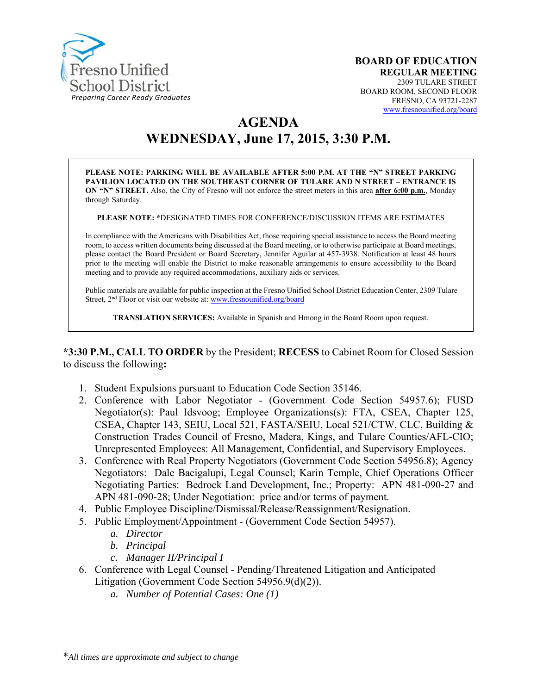

# **AGENDA**

# **WEDNESDAY, June 17, 2015, 3:30 P.M.**

**PLEASE NOTE: PARKING WILL BE AVAILABLE AFTER 5:00 P.M. AT THE "N" STREET PARKING PAVILION LOCATED ON THE SOUTHEAST CORNER OF TULARE AND N STREET – ENTRANCE IS ON "N" STREET.** Also, the City of Fresno will not enforce the street meters in this area **after 6:00 p.m.**, Monday through Saturday.

**PLEASE NOTE: \***DESIGNATED TIMES FOR CONFERENCE/DISCUSSION ITEMS ARE ESTIMATES

In compliance with the Americans with Disabilities Act, those requiring special assistance to access the Board meeting room, to access written documents being discussed at the Board meeting, or to otherwise participate at Board meetings, please contact the Board President or Board Secretary, Jennifer Aguilar at 457-3938. Notification at least 48 hours prior to the meeting will enable the District to make reasonable arrangements to ensure accessibility to the Board meeting and to provide any required accommodations, auxiliary aids or services.

Public materials are available for public inspection at the Fresno Unified School District Education Center, 2309 Tulare Street, 2<sup>nd</sup> Floor or visit our website at: www.fresnounified.org/board

**TRANSLATION SERVICES:** Available in Spanish and Hmong in the Board Room upon request.

**\*3:30 P.M., CALL TO ORDER** by the President; **RECESS** to Cabinet Room for Closed Session to discuss the following**:** 

- 1. Student Expulsions pursuant to Education Code Section 35146.
- 2. Conference with Labor Negotiator (Government Code Section 54957.6); FUSD Negotiator(s): Paul Idsvoog; Employee Organizations(s): FTA, CSEA, Chapter 125, CSEA, Chapter 143, SEIU, Local 521, FASTA/SEIU, Local 521/CTW, CLC, Building & Construction Trades Council of Fresno, Madera, Kings, and Tulare Counties/AFL-CIO; Unrepresented Employees: All Management, Confidential, and Supervisory Employees.
- 3. Conference with Real Property Negotiators (Government Code Section 54956.8); Agency Negotiators: Dale Bacigalupi, Legal Counsel; Karin Temple, Chief Operations Officer Negotiating Parties: Bedrock Land Development, Inc.; Property: APN 481-090-27 and APN 481-090-28; Under Negotiation: price and/or terms of payment.
- 4. Public Employee Discipline/Dismissal/Release/Reassignment/Resignation.
- 5. Public Employment/Appointment (Government Code Section 54957).
	- *a. Director*
	- *b. Principal*
	- *c. Manager II/Principal I*
- 6. Conference with Legal Counsel Pending/Threatened Litigation and Anticipated Litigation (Government Code Section 54956.9(d)(2)).
	- *a. Number of Potential Cases: One (1)*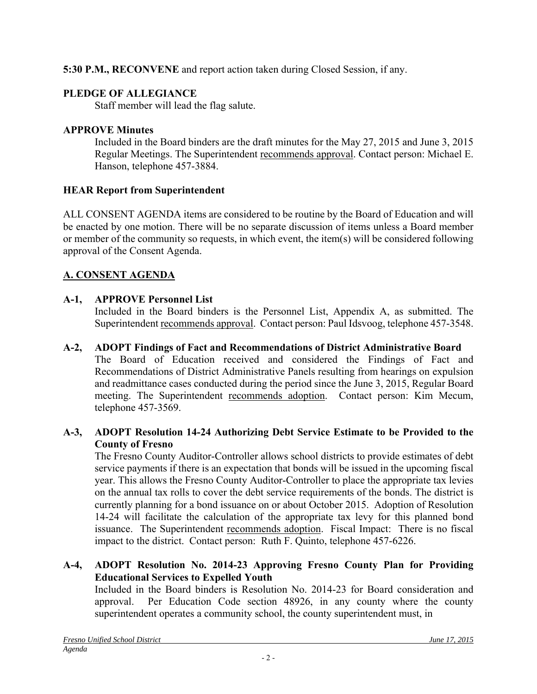**5:30 P.M., RECONVENE** and report action taken during Closed Session, if any.

# **PLEDGE OF ALLEGIANCE**

Staff member will lead the flag salute.

# **APPROVE Minutes**

Included in the Board binders are the draft minutes for the May 27, 2015 and June 3, 2015 Regular Meetings. The Superintendent recommends approval. Contact person: Michael E. Hanson, telephone 457-3884.

# **HEAR Report from Superintendent**

ALL CONSENT AGENDA items are considered to be routine by the Board of Education and will be enacted by one motion. There will be no separate discussion of items unless a Board member or member of the community so requests, in which event, the item(s) will be considered following approval of the Consent Agenda.

# **A. CONSENT AGENDA**

# **A-1, APPROVE Personnel List**

Included in the Board binders is the Personnel List, Appendix A, as submitted. The Superintendent recommends approval. Contact person: Paul Idsvoog, telephone 457-3548.

## **A-2, ADOPT Findings of Fact and Recommendations of District Administrative Board**

The Board of Education received and considered the Findings of Fact and Recommendations of District Administrative Panels resulting from hearings on expulsion and readmittance cases conducted during the period since the June 3, 2015, Regular Board meeting. The Superintendent recommends adoption. Contact person: Kim Mecum, telephone 457-3569.

#### **A-3, ADOPT Resolution 14-24 Authorizing Debt Service Estimate to be Provided to the County of Fresno**

The Fresno County Auditor-Controller allows school districts to provide estimates of debt service payments if there is an expectation that bonds will be issued in the upcoming fiscal year. This allows the Fresno County Auditor-Controller to place the appropriate tax levies on the annual tax rolls to cover the debt service requirements of the bonds. The district is currently planning for a bond issuance on or about October 2015. Adoption of Resolution 14-24 will facilitate the calculation of the appropriate tax levy for this planned bond issuance. The Superintendent recommends adoption. Fiscal Impact: There is no fiscal impact to the district. Contact person: Ruth F. Quinto, telephone 457-6226.

## **A-4, ADOPT Resolution No. 2014-23 Approving Fresno County Plan for Providing Educational Services to Expelled Youth**

Included in the Board binders is Resolution No. 2014-23 for Board consideration and approval. Per Education Code section 48926, in any county where the county superintendent operates a community school, the county superintendent must, in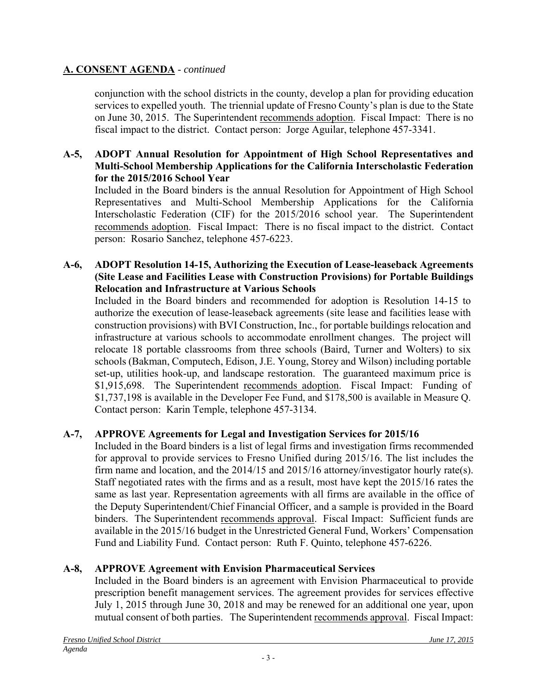conjunction with the school districts in the county, develop a plan for providing education services to expelled youth. The triennial update of Fresno County's plan is due to the State on June 30, 2015. The Superintendent recommends adoption. Fiscal Impact: There is no fiscal impact to the district. Contact person: Jorge Aguilar, telephone 457-3341.

#### **A-5, ADOPT Annual Resolution for Appointment of High School Representatives and Multi-School Membership Applications for the California Interscholastic Federation for the 2015/2016 School Year**

Included in the Board binders is the annual Resolution for Appointment of High School Representatives and Multi-School Membership Applications for the California Interscholastic Federation (CIF) for the 2015/2016 school year. The Superintendent recommends adoption. Fiscal Impact: There is no fiscal impact to the district. Contact person: Rosario Sanchez, telephone 457-6223.

#### **A-6, ADOPT Resolution 14-15, Authorizing the Execution of Lease-leaseback Agreements (Site Lease and Facilities Lease with Construction Provisions) for Portable Buildings Relocation and Infrastructure at Various Schools**

Included in the Board binders and recommended for adoption is Resolution 14-15 to authorize the execution of lease-leaseback agreements (site lease and facilities lease with construction provisions) with BVI Construction, Inc., for portable buildings relocation and infrastructure at various schools to accommodate enrollment changes. The project will relocate 18 portable classrooms from three schools (Baird, Turner and Wolters) to six schools (Bakman, Computech, Edison, J.E. Young, Storey and Wilson) including portable set-up, utilities hook-up, and landscape restoration. The guaranteed maximum price is \$1,915,698. The Superintendent recommends adoption. Fiscal Impact: Funding of \$1,737,198 is available in the Developer Fee Fund, and \$178,500 is available in Measure Q. Contact person: Karin Temple, telephone 457-3134.

## **A-7, APPROVE Agreements for Legal and Investigation Services for 2015/16**

Included in the Board binders is a list of legal firms and investigation firms recommended for approval to provide services to Fresno Unified during 2015/16. The list includes the firm name and location, and the  $2014/15$  and  $2015/16$  attorney/investigator hourly rate(s). Staff negotiated rates with the firms and as a result, most have kept the 2015/16 rates the same as last year. Representation agreements with all firms are available in the office of the Deputy Superintendent/Chief Financial Officer, and a sample is provided in the Board binders. The Superintendent recommends approval. Fiscal Impact: Sufficient funds are available in the 2015/16 budget in the Unrestricted General Fund, Workers' Compensation Fund and Liability Fund. Contact person: Ruth F. Quinto, telephone 457-6226.

## **A-8, APPROVE Agreement with Envision Pharmaceutical Services**

Included in the Board binders is an agreement with Envision Pharmaceutical to provide prescription benefit management services. The agreement provides for services effective July 1, 2015 through June 30, 2018 and may be renewed for an additional one year, upon mutual consent of both parties. The Superintendent recommends approval. Fiscal Impact: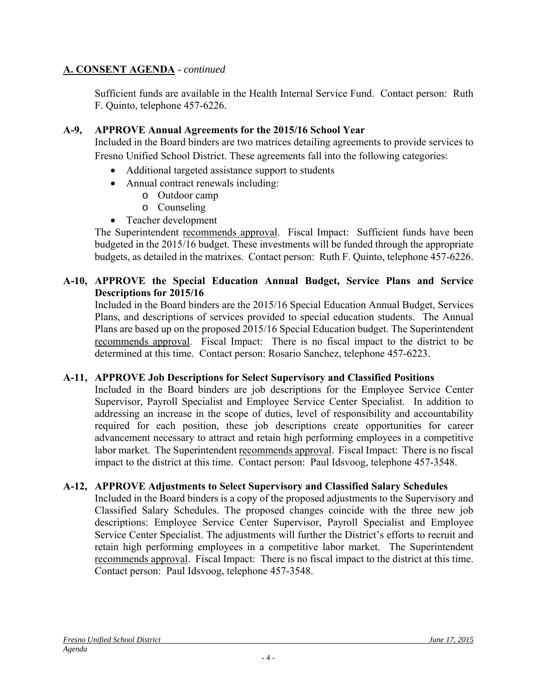Sufficient funds are available in the Health Internal Service Fund. Contact person: Ruth F. Quinto, telephone 457-6226.

## **A-9, APPROVE Annual Agreements for the 2015/16 School Year**

Included in the Board binders are two matrices detailing agreements to provide services to Fresno Unified School District. These agreements fall into the following categories:

- Additional targeted assistance support to students
- Annual contract renewals including:
	- o Outdoor camp
	- o Counseling
- Teacher development

The Superintendent recommends approval. Fiscal Impact: Sufficient funds have been budgeted in the 2015/16 budget. These investments will be funded through the appropriate budgets, as detailed in the matrixes. Contact person: Ruth F. Quinto, telephone 457-6226.

## **A-10, APPROVE the Special Education Annual Budget, Service Plans and Service Descriptions for 2015/16**

Included in the Board binders are the 2015/16 Special Education Annual Budget, Services Plans, and descriptions of services provided to special education students. The Annual Plans are based up on the proposed 2015/16 Special Education budget. The Superintendent recommends approval. Fiscal Impact: There is no fiscal impact to the district to be determined at this time. Contact person: Rosario Sanchez, telephone 457-6223.

## **A-11, APPROVE Job Descriptions for Select Supervisory and Classified Positions**

Included in the Board binders are job descriptions for the Employee Service Center Supervisor, Payroll Specialist and Employee Service Center Specialist. In addition to addressing an increase in the scope of duties, level of responsibility and accountability required for each position, these job descriptions create opportunities for career advancement necessary to attract and retain high performing employees in a competitive labor market. The Superintendent recommends approval. Fiscal Impact: There is no fiscal impact to the district at this time. Contact person: Paul Idsvoog, telephone 457-3548.

## **A-12, APPROVE Adjustments to Select Supervisory and Classified Salary Schedules**

Included in the Board binders is a copy of the proposed adjustments to the Supervisory and Classified Salary Schedules. The proposed changes coincide with the three new job descriptions: Employee Service Center Supervisor, Payroll Specialist and Employee Service Center Specialist. The adjustments will further the District's efforts to recruit and retain high performing employees in a competitive labor market. The Superintendent recommends approval. Fiscal Impact: There is no fiscal impact to the district at this time. Contact person: Paul Idsvoog, telephone 457-3548.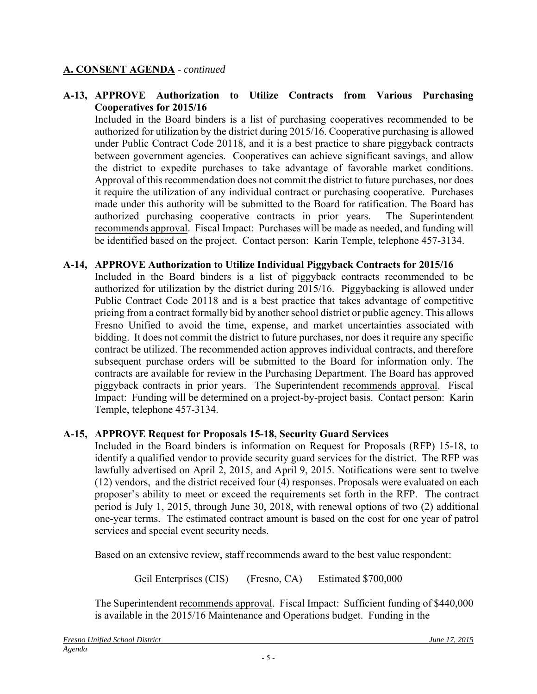#### **A-13, APPROVE Authorization to Utilize Contracts from Various Purchasing Cooperatives for 2015/16**

Included in the Board binders is a list of purchasing cooperatives recommended to be authorized for utilization by the district during 2015/16. Cooperative purchasing is allowed under Public Contract Code 20118, and it is a best practice to share piggyback contracts between government agencies. Cooperatives can achieve significant savings, and allow the district to expedite purchases to take advantage of favorable market conditions. Approval of this recommendation does not commit the district to future purchases, nor does it require the utilization of any individual contract or purchasing cooperative. Purchases made under this authority will be submitted to the Board for ratification. The Board has authorized purchasing cooperative contracts in prior years. The Superintendent recommends approval. Fiscal Impact: Purchases will be made as needed, and funding will be identified based on the project. Contact person: Karin Temple, telephone 457-3134.

#### **A-14, APPROVE Authorization to Utilize Individual Piggyback Contracts for 2015/16**

Included in the Board binders is a list of piggyback contracts recommended to be authorized for utilization by the district during 2015/16. Piggybacking is allowed under Public Contract Code 20118 and is a best practice that takes advantage of competitive pricing from a contract formally bid by another school district or public agency. This allows Fresno Unified to avoid the time, expense, and market uncertainties associated with bidding. It does not commit the district to future purchases, nor does it require any specific contract be utilized. The recommended action approves individual contracts, and therefore subsequent purchase orders will be submitted to the Board for information only. The contracts are available for review in the Purchasing Department. The Board has approved piggyback contracts in prior years. The Superintendent recommends approval. Fiscal Impact: Funding will be determined on a project-by-project basis. Contact person: Karin Temple, telephone 457-3134.

## **A-15, APPROVE Request for Proposals 15-18, Security Guard Services**

Included in the Board binders is information on Request for Proposals (RFP) 15-18, to identify a qualified vendor to provide security guard services for the district. The RFP was lawfully advertised on April 2, 2015, and April 9, 2015. Notifications were sent to twelve (12) vendors, and the district received four (4) responses. Proposals were evaluated on each proposer's ability to meet or exceed the requirements set forth in the RFP. The contract period is July 1, 2015, through June 30, 2018, with renewal options of two (2) additional one-year terms. The estimated contract amount is based on the cost for one year of patrol services and special event security needs.

Based on an extensive review, staff recommends award to the best value respondent:

Geil Enterprises (CIS) (Fresno, CA) Estimated \$700,000

The Superintendent recommends approval. Fiscal Impact: Sufficient funding of \$440,000 is available in the 2015/16 Maintenance and Operations budget. Funding in the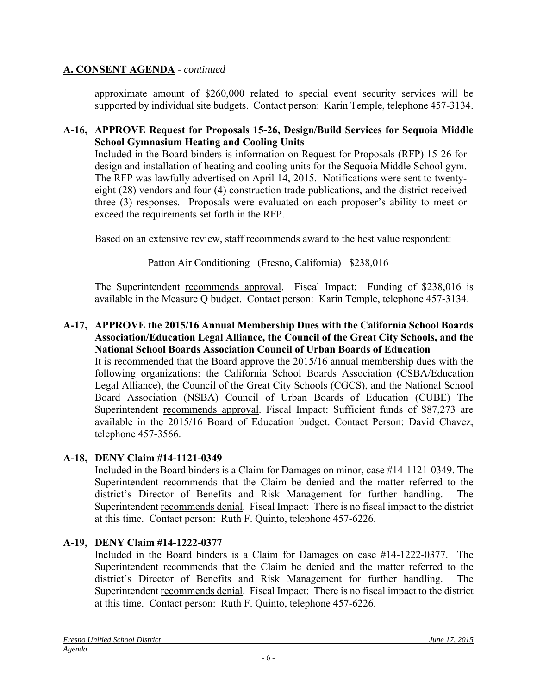approximate amount of \$260,000 related to special event security services will be supported by individual site budgets. Contact person: Karin Temple, telephone 457-3134.

#### **A-16, APPROVE Request for Proposals 15-26, Design/Build Services for Sequoia Middle School Gymnasium Heating and Cooling Units**

Included in the Board binders is information on Request for Proposals (RFP) 15-26 for design and installation of heating and cooling units for the Sequoia Middle School gym. The RFP was lawfully advertised on April 14, 2015. Notifications were sent to twentyeight (28) vendors and four (4) construction trade publications, and the district received three (3) responses. Proposals were evaluated on each proposer's ability to meet or exceed the requirements set forth in the RFP.

Based on an extensive review, staff recommends award to the best value respondent:

Patton Air Conditioning (Fresno, California) \$238,016

The Superintendent recommends approval. Fiscal Impact: Funding of \$238,016 is available in the Measure Q budget. Contact person: Karin Temple, telephone 457-3134.

#### **A-17, APPROVE the 2015/16 Annual Membership Dues with the California School Boards Association/Education Legal Alliance, the Council of the Great City Schools, and the National School Boards Association Council of Urban Boards of Education**

It is recommended that the Board approve the 2015/16 annual membership dues with the following organizations: the California School Boards Association (CSBA/Education Legal Alliance), the Council of the Great City Schools (CGCS), and the National School Board Association (NSBA) Council of Urban Boards of Education (CUBE) The Superintendent recommends approval. Fiscal Impact: Sufficient funds of \$87,273 are available in the 2015/16 Board of Education budget. Contact Person: David Chavez, telephone 457-3566.

## **A-18, DENY Claim #14-1121-0349**

Included in the Board binders is a Claim for Damages on minor, case #14-1121-0349. The Superintendent recommends that the Claim be denied and the matter referred to the district's Director of Benefits and Risk Management for further handling. The Superintendent recommends denial. Fiscal Impact: There is no fiscal impact to the district at this time. Contact person: Ruth F. Quinto, telephone 457-6226.

## **A-19, DENY Claim #14-1222-0377**

Included in the Board binders is a Claim for Damages on case #14-1222-0377. The Superintendent recommends that the Claim be denied and the matter referred to the district's Director of Benefits and Risk Management for further handling. The Superintendent recommends denial. Fiscal Impact: There is no fiscal impact to the district at this time. Contact person: Ruth F. Quinto, telephone 457-6226.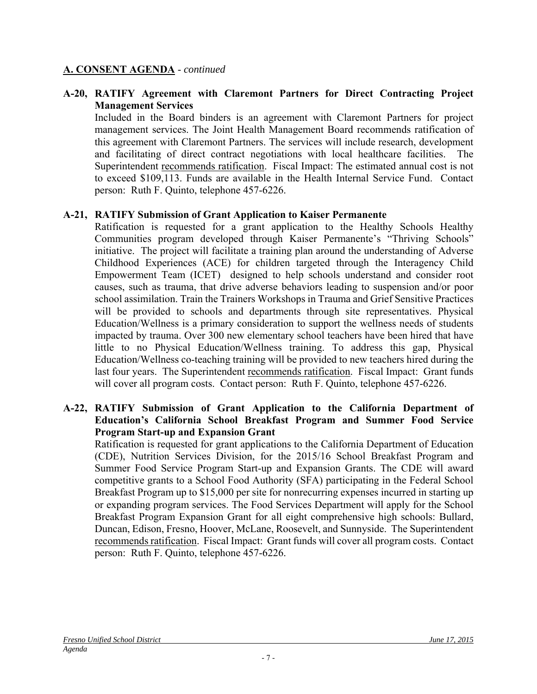#### **A-20, RATIFY Agreement with Claremont Partners for Direct Contracting Project Management Services**

Included in the Board binders is an agreement with Claremont Partners for project management services. The Joint Health Management Board recommends ratification of this agreement with Claremont Partners. The services will include research, development and facilitating of direct contract negotiations with local healthcare facilities. The Superintendent recommends ratification. Fiscal Impact: The estimated annual cost is not to exceed \$109,113. Funds are available in the Health Internal Service Fund. Contact person: Ruth F. Quinto, telephone 457-6226.

#### **A-21, RATIFY Submission of Grant Application to Kaiser Permanente**

Ratification is requested for a grant application to the Healthy Schools Healthy Communities program developed through Kaiser Permanente's "Thriving Schools" initiative. The project will facilitate a training plan around the understanding of Adverse Childhood Experiences (ACE) for children targeted through the Interagency Child Empowerment Team (ICET) designed to help schools understand and consider root causes, such as trauma, that drive adverse behaviors leading to suspension and/or poor school assimilation. Train the Trainers Workshops in Trauma and Grief Sensitive Practices will be provided to schools and departments through site representatives. Physical Education/Wellness is a primary consideration to support the wellness needs of students impacted by trauma. Over 300 new elementary school teachers have been hired that have little to no Physical Education/Wellness training. To address this gap, Physical Education/Wellness co-teaching training will be provided to new teachers hired during the last four years. The Superintendent recommends ratification. Fiscal Impact: Grant funds will cover all program costs. Contact person: Ruth F. Quinto, telephone 457-6226.

#### **A-22, RATIFY Submission of Grant Application to the California Department of Education's California School Breakfast Program and Summer Food Service Program Start-up and Expansion Grant**

Ratification is requested for grant applications to the California Department of Education (CDE), Nutrition Services Division, for the 2015/16 School Breakfast Program and Summer Food Service Program Start-up and Expansion Grants. The CDE will award competitive grants to a School Food Authority (SFA) participating in the Federal School Breakfast Program up to \$15,000 per site for nonrecurring expenses incurred in starting up or expanding program services. The Food Services Department will apply for the School Breakfast Program Expansion Grant for all eight comprehensive high schools: Bullard, Duncan, Edison, Fresno, Hoover, McLane, Roosevelt, and Sunnyside. The Superintendent recommends ratification. Fiscal Impact: Grant funds will cover all program costs. Contact person: Ruth F. Quinto, telephone 457-6226.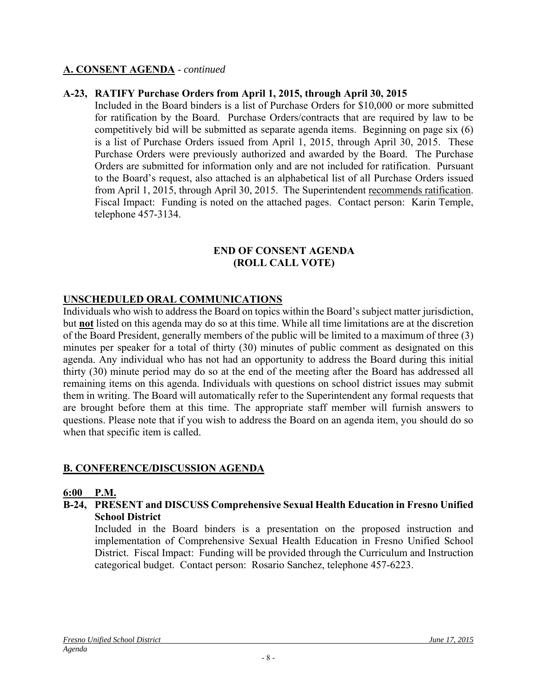#### **A-23, RATIFY Purchase Orders from April 1, 2015, through April 30, 2015**

Included in the Board binders is a list of Purchase Orders for \$10,000 or more submitted for ratification by the Board. Purchase Orders/contracts that are required by law to be competitively bid will be submitted as separate agenda items. Beginning on page six (6) is a list of Purchase Orders issued from April 1, 2015, through April 30, 2015. These Purchase Orders were previously authorized and awarded by the Board. The Purchase Orders are submitted for information only and are not included for ratification. Pursuant to the Board's request, also attached is an alphabetical list of all Purchase Orders issued from April 1, 2015, through April 30, 2015. The Superintendent recommends ratification. Fiscal Impact: Funding is noted on the attached pages. Contact person: Karin Temple, telephone 457-3134.

#### **END OF CONSENT AGENDA (ROLL CALL VOTE)**

#### **UNSCHEDULED ORAL COMMUNICATIONS**

Individuals who wish to address the Board on topics within the Board's subject matter jurisdiction, but **not** listed on this agenda may do so at this time. While all time limitations are at the discretion of the Board President, generally members of the public will be limited to a maximum of three (3) minutes per speaker for a total of thirty (30) minutes of public comment as designated on this agenda. Any individual who has not had an opportunity to address the Board during this initial thirty (30) minute period may do so at the end of the meeting after the Board has addressed all remaining items on this agenda. Individuals with questions on school district issues may submit them in writing. The Board will automatically refer to the Superintendent any formal requests that are brought before them at this time. The appropriate staff member will furnish answers to questions. Please note that if you wish to address the Board on an agenda item, you should do so when that specific item is called.

#### **B. CONFERENCE/DISCUSSION AGENDA**

#### **6:00 P.M.**

#### **B-24, PRESENT and DISCUSS Comprehensive Sexual Health Education in Fresno Unified School District**

Included in the Board binders is a presentation on the proposed instruction and implementation of Comprehensive Sexual Health Education in Fresno Unified School District. Fiscal Impact: Funding will be provided through the Curriculum and Instruction categorical budget. Contact person: Rosario Sanchez, telephone 457-6223.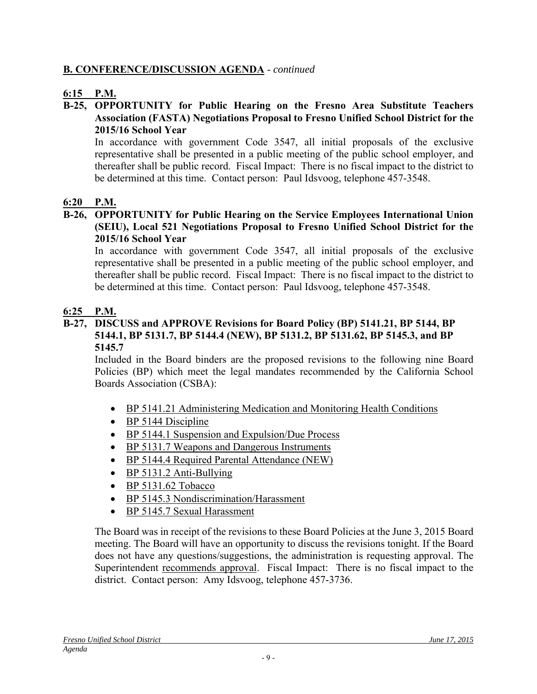## **B. CONFERENCE/DISCUSSION AGENDA** - *continued*

## **6:15 P.M.**

#### **B-25, OPPORTUNITY for Public Hearing on the Fresno Area Substitute Teachers Association (FASTA) Negotiations Proposal to Fresno Unified School District for the 2015/16 School Year**

In accordance with government Code 3547, all initial proposals of the exclusive representative shall be presented in a public meeting of the public school employer, and thereafter shall be public record. Fiscal Impact: There is no fiscal impact to the district to be determined at this time. Contact person: Paul Idsvoog, telephone 457-3548.

## **6:20 P.M.**

#### **B-26, OPPORTUNITY for Public Hearing on the Service Employees International Union (SEIU), Local 521 Negotiations Proposal to Fresno Unified School District for the 2015/16 School Year**

In accordance with government Code 3547, all initial proposals of the exclusive representative shall be presented in a public meeting of the public school employer, and thereafter shall be public record. Fiscal Impact: There is no fiscal impact to the district to be determined at this time. Contact person: Paul Idsvoog, telephone 457-3548.

#### **6:25 P.M.**

#### **B-27, DISCUSS and APPROVE Revisions for Board Policy (BP) 5141.21, BP 5144, BP 5144.1, BP 5131.7, BP 5144.4 (NEW), BP 5131.2, BP 5131.62, BP 5145.3, and BP 5145.7**

Included in the Board binders are the proposed revisions to the following nine Board Policies (BP) which meet the legal mandates recommended by the California School Boards Association (CSBA):

- BP 5141.21 Administering Medication and Monitoring Health Conditions
- BP 5144 Discipline
- BP 5144.1 Suspension and Expulsion/Due Process
- BP 5131.7 Weapons and Dangerous Instruments
- BP 5144.4 Required Parental Attendance (NEW)
- $\bullet$  BP 5131.2 Anti-Bullying
- BP 5131.62 Tobacco
- BP 5145.3 Nondiscrimination/Harassment
- BP 5145.7 Sexual Harassment

The Board was in receipt of the revisions to these Board Policies at the June 3, 2015 Board meeting. The Board will have an opportunity to discuss the revisions tonight. If the Board does not have any questions/suggestions, the administration is requesting approval. The Superintendent recommends approval. Fiscal Impact: There is no fiscal impact to the district. Contact person: Amy Idsvoog, telephone 457-3736.